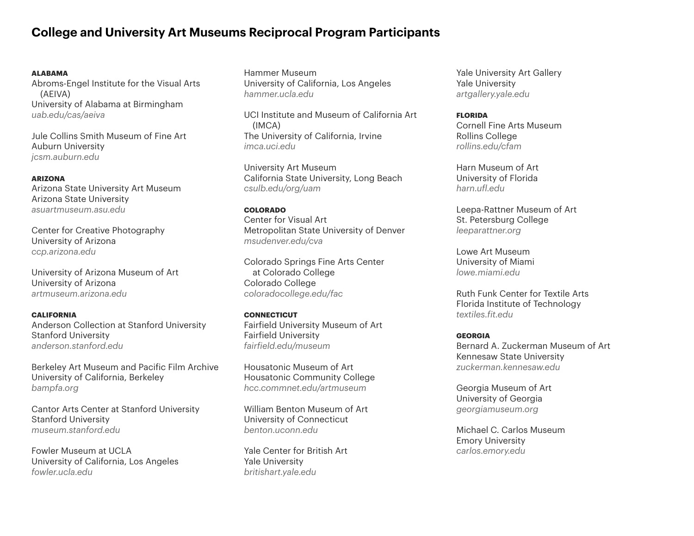# **College and University Art Museums Reciprocal Program Participants**

#### **ALABAMA**

Abroms-Engel Institute for the Visual Arts (AEIVA) University of Alabama at Birmingham *[uab.edu/cas/aeiva](http://uab.edu/cas/aeiva)*

Jule Collins Smith Museum of Fine Art Auburn University *[jcsm.auburn.edu](http://jcsm.auburn.edu)*

#### **ARIZONA**

Arizona State University Art Museum Arizona State University *[asuartmuseum.asu.edu](http://asuartmuseum.asu.edu)*

Center for Creative Photography University of Arizona *[ccp.arizona.edu](http://ccp.arizona.edu)*

University of Arizona Museum of Art University of Arizona *[artmuseum.arizona.edu](http://artmuseum.arizona.edu)*

## **CALIFORNIA**

Anderson Collection at Stanford University Stanford University *[anderson.stanford.edu](http://anderson.stanford.edu)*

Berkeley Art Museum and Pacific Film Archive University of California, Berkeley *[bampfa.org](http://bampfa.org)*

Cantor Arts Center at Stanford University Stanford University *[museum.stanford.edu](http://museum.stanford.edu)*

Fowler Museum at UCLA University of California, Los Angeles *[fowler.ucla.edu](http://fowler.ucla.edu)* 

Hammer Museum University of California, Los Angeles *[hammer.ucla.edu](http://hammer.ucla.edu)*

UCI Institute and Museum of California Art (IMCA) The University of California, Irvine *[imca.uci.edu](http://imca.uci.edu)*

University Art Museum California State University, Long Beach *[csulb.edu/org/uam](http://csulb.edu/org/uam)*

#### **COLORADO**

Center for Visual Art Metropolitan State University of Denver *[msudenver.edu/cva](http://msudenver.edu/cva)*

Colorado Springs Fine Arts Center at Colorado College Colorado College *[coloradocollege.edu/fac](http://coloradocollege.edu/fac)*

#### **CONNECTICUT** Fairfield University Museum of Art Fairfield University *[fairfield.edu/museum](http://fairfield.edu/museum)*

Housatonic Museum of Art Housatonic Community College *[hcc.commnet.edu/artmuseum](http://hcc.commnet.edu/artmuseum)*

William Benton Museum of Art University of Connecticut *[benton.uconn.edu](http://benton.uconn.edu)*

Yale Center for British Art Yale University *[britishart.yale.edu](http://britishart.yale.edu)*

Yale University Art Gallery Yale University *[artgallery.yale.edu](http://artgallery.yale.edu)*

## **FLORIDA** Cornell Fine Arts Museum Rollins College *[rollins.edu/cfam](http://www.rollins.edu/cfam)*

Harn Museum of Art University of Florida *[harn.ufl.edu](http://harn.ufl.edu)*

Leepa-Rattner Museum of Art St. Petersburg College *[leeparattner.org](http://leeparattner.org)*

Lowe Art Museum University of Miami *[lowe.miami.edu](http://lowe.miami.edu)*

Ruth Funk Center for Textile Arts Florida Institute of Technology *[textiles.fit.edu](http://textiles.fit.edu)*

#### **GEORGIA**

Bernard A. Zuckerman Museum of Art Kennesaw State University *[zuckerman.kennesaw.edu](http://zuckerman.kennesaw.edu)*

Georgia Museum of Art University of Georgia *[georgiamuseum.org](http://georgiamuseum.org)*

Michael C. Carlos Museum Emory University *[carlos.emory.edu](http://www.carlos.emory.edu)*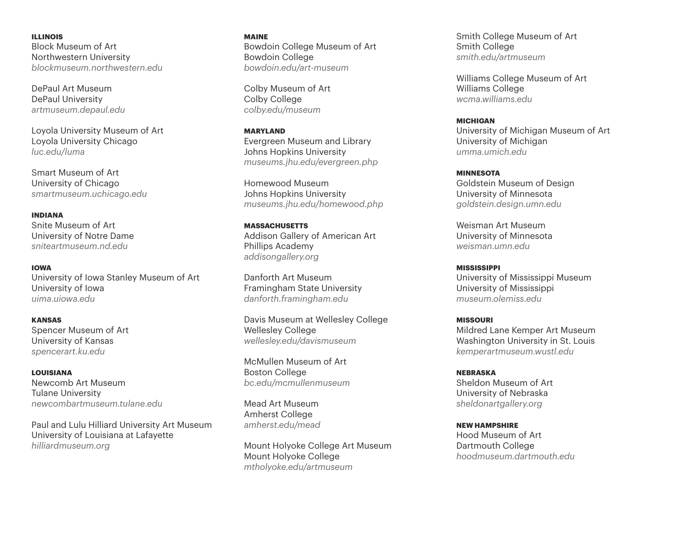**ILLINOIS** Block Museum of Art Northwestern University *[blockmuseum.northwestern.edu](http://blockmuseum.northwestern.edu)*

DePaul Art Museum DePaul University *[artmuseum.depaul.edu](http://artmuseum.depaul.edu)*

Loyola University Museum of Art Loyola University Chicago *[luc.edu/luma](http://www.luc.edu/luma)*

Smart Museum of Art University of Chicago *[smartmuseum.uchicago.edu](http://smartmuseum.uchicago.edu)*

**INDIANA** Snite Museum of Art University of Notre Dame *[sniteartmuseum.nd.edu](http://sniteartmuseum.nd.edu)*

**IOWA** University of Iowa Stanley Museum of Art University of Iowa *[uima.uiowa.edu](http://uima.uiowa.edu)*

**KANSAS** Spencer Museum of Art University of Kansas *[spencerart.ku.edu](http://spencerart.ku.edu)*

**LOUISIANA** Newcomb Art Museum Tulane University *[newcombartmuseum.tulane.edu](http://newcombartmuseum.tulane.edu)*

Paul and Lulu Hilliard University Art Museum University of Louisiana at Lafayette *[hilliardmuseum.org](http://hilliardmuseum.org)*

**MAINE** Bowdoin College Museum of Art Bowdoin College *[bowdoin.edu/art-museum](http://www.bowdoin.edu/art-museum)*

Colby Museum of Art Colby College *[colby.edu/museum](http://colby.edu/museum)*

**MARYLAND** Evergreen Museum and Library Johns Hopkins University *[museums.jhu.edu/evergreen.php](http://www.museums.jhu.edu/evergreen.php)* 

Homewood Museum Johns Hopkins University *[museums.jhu.edu/homewood.php](http://www.museums.jhu.edu/homewood.php)*

**MASSACHUSETTS** Addison Gallery of American Art Phillips Academy *[addisongallery.org](http://addisongallery.org)*

Danforth Art Museum Framingham State University *[danforth.framingham.edu](http://danforth.framingham.edu)*

Davis Museum at Wellesley College Wellesley College *[wellesley.edu/davismuseum](http://wellesley.edu/davismuseum)*

McMullen Museum of Art Boston College *[bc.edu/mcmullenmuseum](http://bc.edu/mcmullenmuseum)*

Mead Art Museum Amherst College *[amherst.edu/mead](http://amherst.edu/mead)*

Mount Holyoke College Art Museum Mount Holyoke College *[mtholyoke.edu/artmuseum](http://www.mtholyoke.edu/artmuseum)*

Smith College Museum of Art Smith College *[smith.edu/artmuseum](http://smith.edu/artmuseum)*

Williams College Museum of Art Williams College *[wcma.williams.edu](http://wcma.williams.edu)*

**MICHIGAN** University of Michigan Museum of Art University of Michigan *[umma.umich.edu](http://umma.umich.edu)*

**MINNESOTA**  Goldstein Museum of Design University of Minnesota *[goldstein.design.umn.edu](http://goldstein.design.umn.edu)* 

Weisman Art Museum University of Minnesota *[weisman.umn.edu](http://weisman.umn.edu)*

**MISSISSIPPI**  University of Mississippi Museum University of Mississippi *[museum.olemiss.edu](http://museum.olemiss.edu)* 

**MISSOURI**  Mildred Lane Kemper Art Museum Washington University in St. Louis *[kemperartmuseum.wustl.edu](http://kemperartmuseum.wustl.edu)* 

**NEBRASKA** Sheldon Museum of Art University of Nebraska *[sheldonartgallery.org](http://sheldonartgallery.org)* 

**NEW HAMPSHIRE** Hood Museum of Art Dartmouth College *[hoodmuseum.dartmouth.edu](http://hoodmuseum.dartmouth.edu)*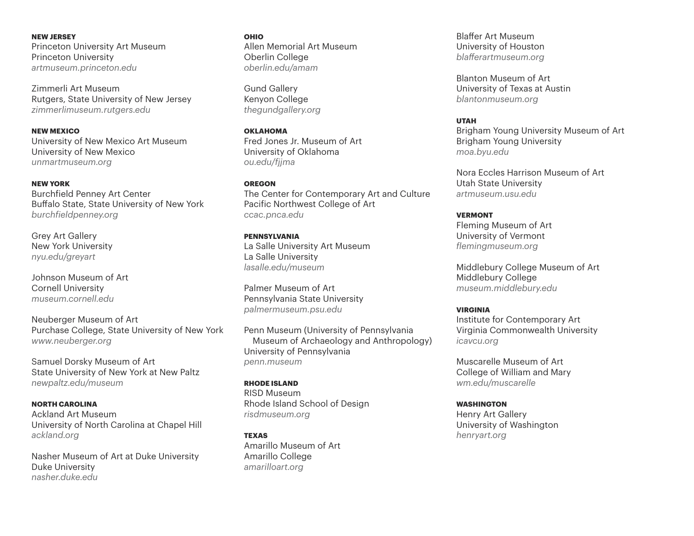**NEW JERSEY**  Princeton University Art Museum Princeton University *[artmuseum.princeton.edu](http://artmuseum.princeton.edu)* 

Zimmerli Art Museum Rutgers, State University of New Jersey *[zimmerlimuseum.rutgers.edu](http://www.zimmerlimuseum.rutgers.edu)* 

**NEW MEXICO** University of New Mexico Art Museum University of New Mexico *[unmartmuseum.o](http://unmartmuseum.unm.edu)rg*

**NEW YORK** Burchfield Penney Art Center Buffalo State, State University of New York *[burchfieldpenney.org](http://burchfieldpenney.org)* 

Grey Art Gallery New York University *[nyu.edu/greyart](http://nyu.edu/greyart)*

Johnson Museum of Art Cornell University *[museum.cornell.edu](http://museum.cornell.edu)* 

Neuberger Museum of Art Purchase College, State University of New York *www[.neuberger.org](http://neuberger.org)*

Samuel Dorsky Museum of Art State University of New York at New Paltz *[newpaltz.edu/museum](http://newpaltz.edu/museum)*

**NORTH CAROLINA**  Ackland Art Museum University of North Carolina at Chapel Hill *[ackland.org](http://ackland.org)* 

Nasher Museum of Art at Duke University Duke University *[nasher.duke.edu](http://www.nasher.duke.edu)* 

**OHIO** Allen Memorial Art Museum Oberlin College *[oberlin.edu/amam](http://oberlin.edu/amam)*

Gund Gallery Kenyon College *[thegundgallery.org](http://thegundgallery.org)*

**OKLAHOMA** Fred Jones Jr. Museum of Art University of Oklahoma *[ou.edu/fjjma](http://ou.edu/fjjma)*

**OREGON** The Center for Contemporary Art and Culture Pacific Northwest College of Art *[ccac.pnca.edu](http://ccac.pnca.edu)*

**PENNSYLVANIA** La Salle University Art Museum La Salle University *[lasalle.edu/museum](http://lasalle.edu/museum)*

Palmer Museum of Art Pennsylvania State University *[palmermuseum.psu.edu](http://palmermuseum.psu.edu)* 

Penn Museum (University of Pennsylvania Museum of Archaeology and Anthropology) University of Pennsylvania *[penn.museum](http://penn.museum)*

**RHODE ISLAND** RISD Museum Rhode Island School of Design *[risdmuseum.org](http://risdmuseum.org)*

**TEXAS** Amarillo Museum of Art Amarillo College *[amarilloart.org](http://amarilloart.org)* 

Blaffer Art Museum University of Houston *[blafferartmuseum.org](http://blafferartmuseum.org)*

Blanton Museum of Art University of Texas at Austin *[blantonmuseum.org](http://blantonmuseum.org)*

## **UTAH**

Brigham Young University Museum of Art Brigham Young University *[moa.byu.edu](http://moa.byu.edu)*

Nora Eccles Harrison Museum of Art Utah State University *[artmuseum.usu.edu](http://artmuseum.usu.edu)*

**VERMONT**  Fleming Museum of Art University of Vermont *[flemingmuseum.org](http://flemingmuseum.org)*

Middlebury College Museum of Art Middlebury College *[museum.middlebury.edu](http://museum.middlebury.edu)*

#### **VIRGINIA**

Institute for Contemporary Art Virginia Commonwealth University *[icavcu.org](http://icavcu.org)* 

Muscarelle Museum of Art College of William and Mary *[wm.edu/muscarelle](http://www.wm.edu/muscarelle)* 

**WASHINGTON** Henry Art Gallery University of Washington *[henryart.org](http://henryart.org)*